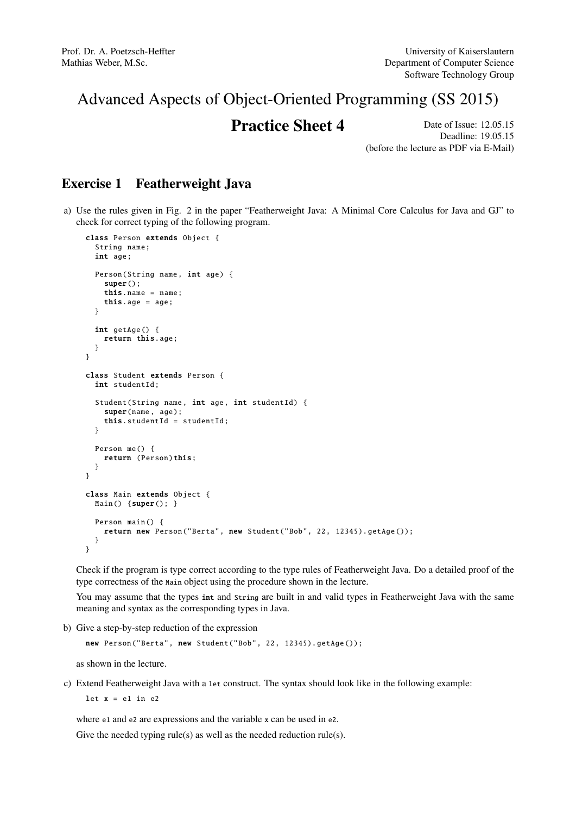## Advanced Aspects of Object-Oriented Programming (SS 2015)

## **Practice Sheet 4** Date of Issue: 12.05.15

Deadline: 19.05.15 (before the lecture as PDF via E-Mail)

## Exercise 1 Featherweight Java

a) Use the rules given in Fig. 2 in the paper "Featherweight Java: A Minimal Core Calculus for Java and GJ" to check for correct typing of the following program.

```
class Person extends Object {
  String name;
  int age;
  Person(String name , int age) {
    super():
    this.name = name;
    this.age = age;
  }
  int getAge () {
    return this.age;
  }
}
class Student extends Person {
  int studentId ;
  Student(String name, int age, int studentId) {
    super(name, age);
    this. studentId = studentId;
  }
  Person me() {
    return (Person)this;
  }
}
class Main extends Object {
 Main() {super(); }
  Person main () {
   return new Person("Berta", new Student("Bob", 22, 12345). getAge ());
  }
}
```
Check if the program is type correct according to the type rules of Featherweight Java. Do a detailed proof of the type correctness of the Main object using the procedure shown in the lecture.

You may assume that the types int and String are built in and valid types in Featherweight Java with the same meaning and syntax as the corresponding types in Java.

b) Give a step-by-step reduction of the expression

```
new Person("Berta", new Student("Bob", 22, 12345). getAge ());
```
as shown in the lecture.

c) Extend Featherweight Java with a let construct. The syntax should look like in the following example:

let  $x = e1$  in  $e2$ 

where e1 and e2 are expressions and the variable x can be used in e2. Give the needed typing rule(s) as well as the needed reduction rule(s).